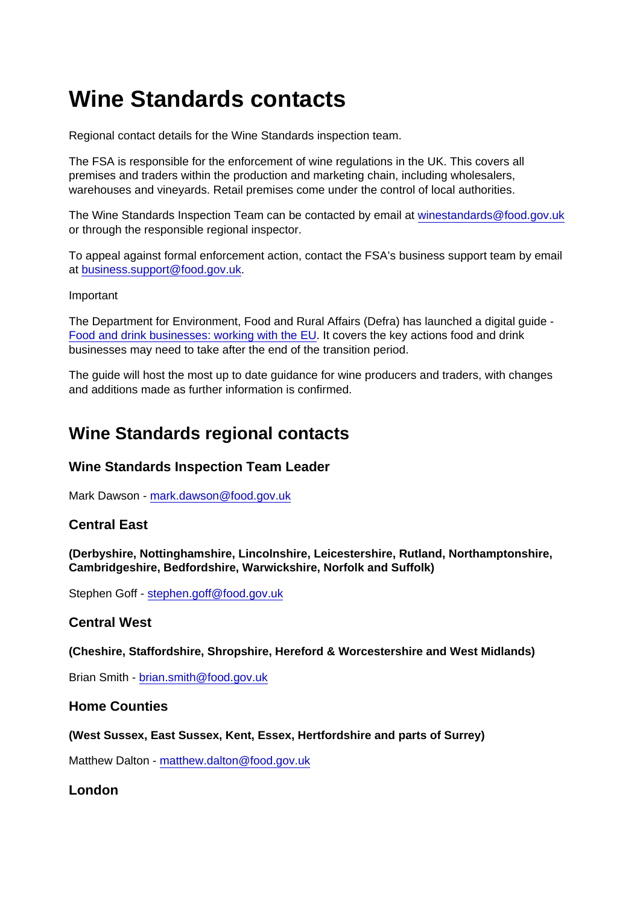# Wine Standards contacts

Regional contact details for the Wine Standards inspection team.

The FSA is responsible for the enforcement of wine regulations in the UK. This covers all premises and traders within the production and marketing chain, including wholesalers, warehouses and vineyards. Retail premises come under the control of local authorities.

The Wine Standards Inspection Team can be contacted by email at [winestandards@food.gov.uk](mailto:winestandards@food.gov.uk) or through the responsible regional inspector.

To appeal against formal enforcement action, contact the FSA's business support team by email at [business.support@food.gov.uk](mailto:business.support@food.gov.uk).

Important

The Department for Environment, Food and Rural Affairs (Defra) has launched a digital guide - [Food and drink businesses: working with the EU.](https://www.gov.uk/guidance/food-and-drink-businesses-working-with-the-eu) It covers the key actions food and drink businesses may need to take after the end of the transition period.

The guide will host the most up to date guidance for wine producers and traders, with changes and additions made as further information is confirmed.

# Wine Standards regional contacts

Wine Standards Inspection Team Leader

Mark Dawson - [mark.dawson@food.gov.uk](mailto:mark.dawson@food.gov.uk)

#### Central East

(Derbyshire, Nottinghamshire, Lincolnshire, Leicestershire, Rutland, Northamptonshire, Cambridgeshire, Bedfordshire, Warwickshire, Norfolk and Suffolk)

Stephen Goff - [stephen.goff@food.gov.uk](mailto:stephen.goff@food.gov.uk)

#### Central West

(Cheshire, Staffordshire, Shropshire, Hereford & Worcestershire and West Midlands)

Brian Smith - [brian.smith@food.gov.uk](mailto:brian.smith@food.gov.uk)

Home Counties

(West Sussex, East Sussex, Kent, Essex, Hertfordshire and parts of Surrey)

Matthew Dalton - [matthew.dalton@food.gov.uk](mailto:matthew.dalton@food.gov.uk)

London